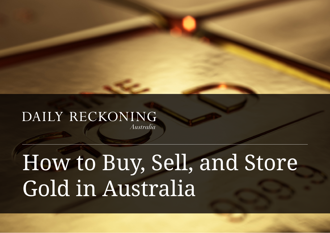## DAILY RECKONING Australia

# How to Buy, Sell, and Store Gold in Australia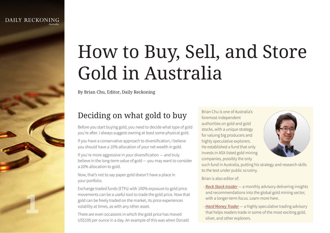**1**

## How to Buy, Sell, and Store Gold in Australia

By Brian Chu, Editor, Daily Reckoning

## Deciding on what gold to buy

Before you start buying gold, you need to decide what type of gold you're after. I always suggest owning at least some physical gold.

If you have a conservative approach to diversification, I believe you should have a 10% allocation of your net wealth in gold.

If you're more aggressive in your diversification — and truly believe in the long-term value of gold — you may want to consider a 20% allocation to gold.

Now, that's not to say paper gold doesn't have a place in your portfolio.

Exchange traded funds (ETFs) with 100% exposure to gold price movements can be a useful tool to trade the gold price. Now that gold can be freely traded on the market, its price experiences volatility at times, as with any other asset.

There are even occasions in which the gold price has moved US\$100 per ounce in a day. An example of this was when Donald Brian Chu is one of Australia's foremost independent authorities on gold and gold stocks, with a unique strategy for valuing big producers and highly speculative explorers. He established a fund that only invests in ASX-listed gold mining companies, possibly the only



such fund in Australia, putting his strategy and research skills to the test under public scrutiny.

Brian is also editor of:

- *[Rock Stock Insider](https://fattail.com.au/publication/roc/)* a monthly advisory delivering insights and recommendations into the global gold mining sector, with a longer-term focus. Learn more here.
- *[Hard Money Trader](https://fattail.com.au/publication/hms/)* a highly speculative trading advisory that helps readers trade in some of the most exciting gold, silver, and other explorers.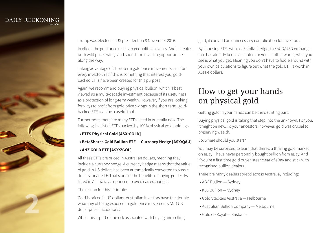

Trump was elected as US president on 8 November 2016.

In effect, the gold price reacts to geopolitical events. And it creates both wild price swings and short-term investing opportunities along the way.

Taking advantage of short-term gold price movements isn't for every investor. Yet if this is something that interest you, goldbacked ETFs have been created for this purpose.

Again, we recommend buying physical bullion, which is best viewed as a multi-decade investment because of its usefulness as a protection of long-term wealth. However, if you are looking for ways to profit from gold price swings in the short term, goldbacked ETFs can be a useful tool.

Furthermore, there are many ETFs listed in Australia now. The following is a list of ETFs backed by 100% physical gold holdings:

#### **• ETFS Physical Gold [ASX:GOLD]**

 **• BetaShares Gold Bullion ETF — Currency Hedge [ASX:QAU]**

#### **• ANZ GOLD ETF [ASX:ZGOL]**

All these ETFs are priced in Australian dollars, meaning they include a currency hedge. A currency hedge means that the value of gold in US dollars has been automatically converted to Aussie dollars for an ETF. That's one of the benefits of buying gold ETFs listed in Australia as opposed to overseas exchanges.

#### The reason for this is simple:

Gold is priced in US dollars. Australian investors have the double whammy of being exposed to gold price movements AND US dollar price fluctuations.

While this is part of the risk associated with buying and selling

gold, it can add an unnecessary complication for investors.

By choosing ETFs with a US dollar hedge, the AUD/USD exchange rate has already been calculated for you. In other words, what you see is what you get. Meaning you don't have to fiddle around with your own calculations to figure out what the gold ETF is worth in Aussie dollars.

## How to get your hands on physical gold

Getting gold in your hands can be the daunting part.

Buying physical gold is taking that step into the unknown. For you, it might be new. To your ancestors, however, gold was crucial to preserving wealth.

#### So, where should you start?

You may be surprised to learn that there's a thriving gold market on eBay! I have never personally bought bullion from eBay. And if you're a first time gold buyer, steer clear of eBay and stick with recognised bullion dealers.

There are many dealers spread across Australia, including:

- ABC Bullion Sydney
- KJC Bullion Sydney
- Gold Stackers Australia Melbourne
- Australian Bullion Company Melbourne
- Gold de Royal Brisbane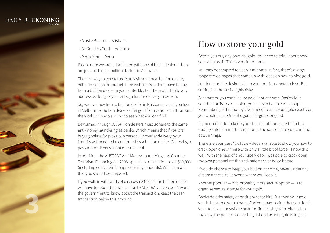

- Ainslie Bullion Brisbane
- As Good As Gold Adelaide
- Perth Mint Perth

Please note we are not affiliated with any of these dealers. These are just the largest bullion dealers in Australia.

The best way to get started is to visit your local bullion dealer, either in person or through their website. You don't have to buy from a bullion dealer in your state. Most of them will ship to any address, as long as you can sign for the delivery in person.

So, you can buy from a bullion dealer in Brisbane even if you live in Melbourne. Bullion dealers offer gold from various mints around the world, so shop around to see what you can find.

Be warned, though: All bullion dealers must adhere to the same anti-money laundering as banks. Which means that if you are buying online for pick up in person OR courier delivery, your identity will need to be confirmed by a bullion dealer. Generally, a passport or driver's licence is sufficient.

In addition, the AUSTRAC Anti-Money Laundering and Counter-Terrorism Financing Act 2006 applies to transactions over \$10,000 (including equivalent foreign currency amounts). Which means that you should be prepared.

If you walk in with wads of cash over \$10,000, the bullion dealer will have to report the transaction to AUSTRAC. If you don't want the government to know about the transaction, keep the cash transaction below this amount.

## How to store your gold

Before you buy any physical gold, you need to think about how you will store it. This is very important.

You may be tempted to keep it at home. In fact, there's a large range of web pages that come up with ideas on how to hide gold.

I understand the desire to keep your precious metals close. But storing it at home is highly risky.

For starters, you can't insure gold kept at home. Basically, if your bullion is lost or stolen, you'll never be able to recoup it. Remember, gold is money…you need to treat your gold exactly as you would cash. Once it's gone, it's gone for good.

If you do decide to keep your bullion at home, install a top quality safe. I'm not talking about the sort of safe you can find at Bunnings.

There are countless YouTube videos available to show you how to crack open one of these with only a little bit of force. I know this well. With the help of a YouTube video, I was able to crack open my own personal off-the-rack safe once or twice before.

If you do choose to keep your bullion at home, never, under any circumstances, tell anyone where you keep it.

Another popular — and probably more secure option — is to organise secure storage for your gold.

Banks do offer safety deposit boxes for hire. But then your gold would be stored with a bank. And you may decide that you don't want to have it anywhere near the financial system. After all, in my view, the point of converting fiat dollars into gold is to get a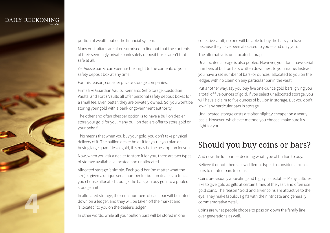

portion of wealth out of the financial system.

Many Australians are often surprised to find out that the contents of their seemingly private bank safety deposit boxes aren't that safe at all.

Yet Aussie banks can exercise their right to the contents of your safety deposit box at any time!

For this reason, consider private storage companies.

Firms like Guardian Vaults, Kennards Self Storage, Custodian Vaults, and Fortis Vaults all offer personal safety deposit boxes for a small fee. Even better, they are privately owned. So, you won't be storing your gold with a bank or government authority.

The other and often cheaper option is to have a bullion dealer store your gold for you. Many bullion dealers offer to store gold on your behalf.

This means that when you buy your gold, you don't take physical delivery of it. The bullion dealer holds it for you. If you plan on buying large quantities of gold, this may be the best option for you.

Now, when you ask a dealer to store it for you, there are two types of storage available: allocated and unallocated.

Allocated storage is simple. Each gold bar (no matter what the size) is given a unique serial number for bullion dealers to track. If you choose allocated storage, the bars you buy go into a pooled storage unit.

In allocated storage, the serial numbers of each bar will be noted down on a ledger, and they will be taken off the market and 'allocated' to you on the dealer's ledger.

In other words, while all your bullion bars will be stored in one

collective vault, no one will be able to buy the bars you have because they have been allocated to you — and only you.

The alternative is unallocated storage.

Unallocated storage is also pooled. However, you don't have serial numbers of bullion bars written down next to your name. Instead, you have a set number of bars (or ounces) allocated to you on the ledger, with no claim on any particular bar in the vault.

Put another way, say you buy five one-ounce gold bars, giving you a total of five ounces of gold. If you select unallocated storage, you will have a claim to five ounces of bullion in storage. But you don't 'own' any particular bars in storage.

Unallocated storage costs are often slightly cheaper on a yearly basis. However, whichever method you choose, make sure it's right for you.

## Should you buy coins or bars?

And now the fun part — deciding what type of bullion to buy.

Believe it or not, there a few different types to consider…from cast bars to minted bars to coins.

Coins are visually appealing and highly collectable. Many cultures like to give gold as gifts at certain times of the year, and often use gold coins. The reason? Gold and silver coins are attractive to the eye. They make fabulous gifts with their intricate and generally commemorative detail.

Coins are what people choose to pass on down the family line over generations as well.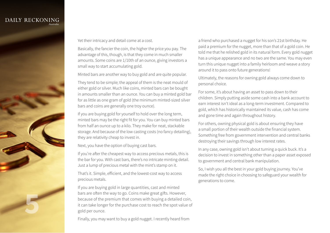

Yet their intricacy and detail come at a cost.

Basically, the fancier the coin, the higher the price you pay. The advantage of this, though, is that they come in much smaller amounts. Some coins are 1/10th of an ounce, giving investors a small way to start accumulating gold.

Minted bars are another way to buy gold and are quite popular.

They tend to be simple; the appeal of them is the neat mould of either gold or silver. Much like coins, minted bars can be bought in amounts smaller than an ounce. You can buy a minted gold bar for as little as one gram of gold (the minimum minted-sized silver bars and coins are generally one troy ounce).

If you are buying gold for yourself to hold over the long term, minted bars may be the right fit for you. You can buy minted bars from half an ounce up to a kilo. They make for neat, stackable storage. And because of the low casting costs (no fancy detailing), they are relativity cheap to invest in.

Next, you have the option of buying cast bars.

If you're after the cheapest way to access precious metals, this is the bar for you. With cast bars, there's no intricate minting detail. Just a lump of precious metal with the mint's stamp on it.

That's it. Simple, efficient, and the lowest-cost way to access precious metals.

If you are buying gold in large quantities, cast and minted bars are often the way to go. Coins make great gifts. However, because of the premium that comes with buying a detailed coin, it can take longer for the purchase cost to reach the spot value of gold per ounce.

Finally, you may want to buy a gold nugget. I recently heard from

a friend who purchased a nugget for his son's 21st birthday. He paid a premium for the nugget, more than that of a gold coin. He told me that he relished gold in its natural form. Every gold nugget has a unique appearance and no two are the same. You may even turn this unique nugget into a family heirloom and weave a story around it to pass onto future generations!

Ultimately, the reasons for owning gold always come down to personal choice.

For some, it's about having an asset to pass down to their children. Simply putting aside some cash into a bank account to earn interest isn't ideal as a long-term investment. Compared to gold, which has historically maintained its value, cash has come and gone time and again throughout history.

For others, owning physical gold is about ensuring they have a small portion of their wealth outside the financial system. Something free from government intervention and central banks destroying their savings through low interest rates.

In any case, owning gold isn't about turning a quick buck. It's a decision to invest in something other than a paper asset exposed to government and central bank manipulation.

So, I wish you all the best in your gold buying journey. You've made the right choice in choosing to safeguard your wealth for generations to come.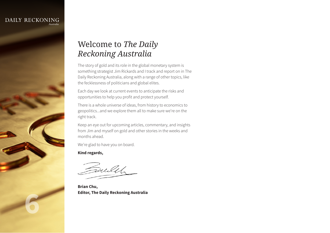DAILY RECKONING

**6**

#### Welcome to *The Daily Reckoning Australia*

The story of gold and its role in the global monetary system is something strategist Jim Rickards and I track and report on in The Daily Reckoning Australia, along with a range of other topics, like the fecklessness of politicians and global elites.

Each day we look at current events to anticipate the risks and opportunities to help you profit and protect yourself.

There is a whole universe of ideas, from history to economics to geopolitics...and we explore them all to make sure we're on the right track.

Keep an eye out for upcoming articles, commentary, and insights from Jim and myself on gold and other stories in the weeks and months ahead.

We're glad to have you on board.

**Kind regards,**

ulit

**Brian Chu, Editor, The Daily Reckoning Australia**